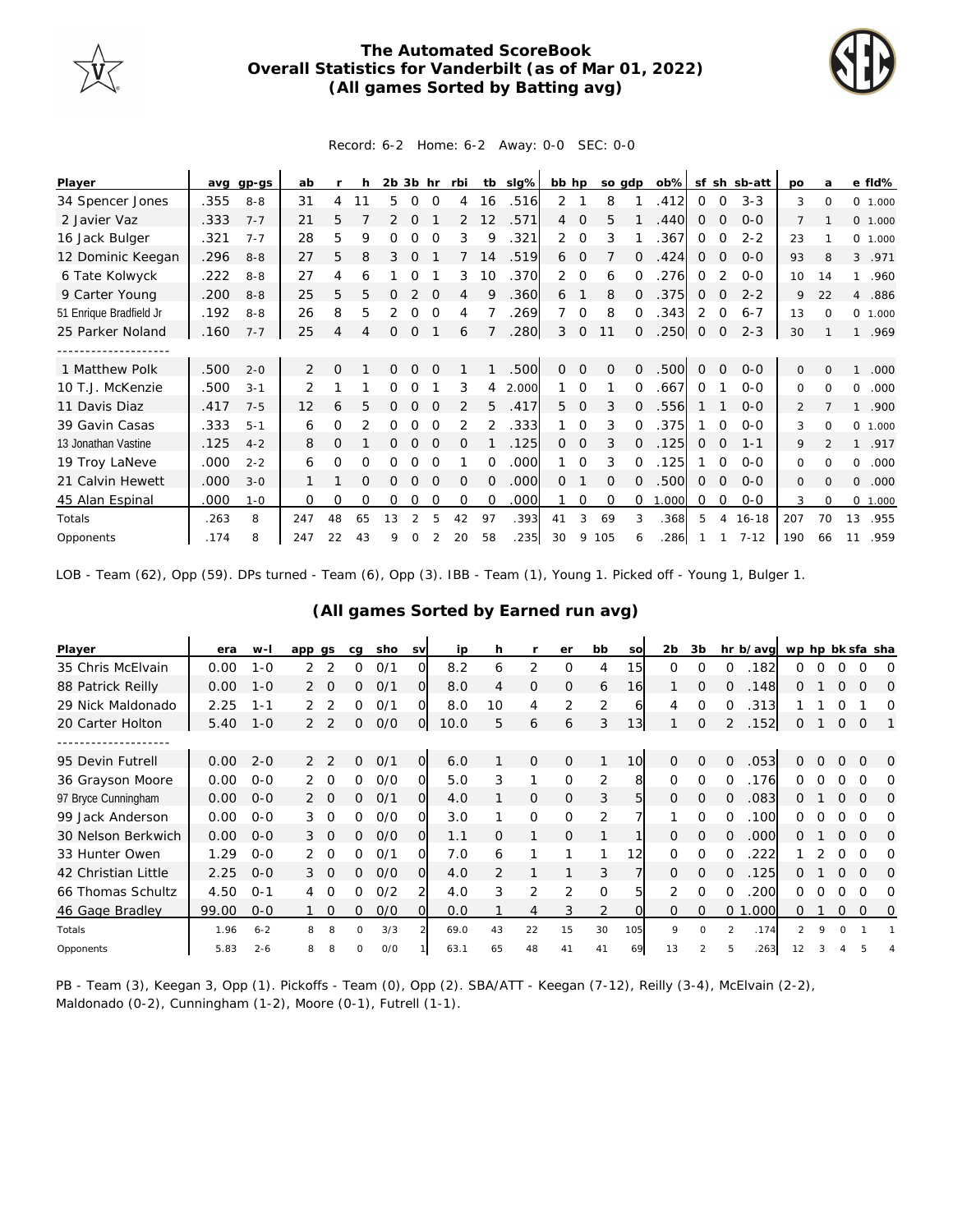

## **The Automated ScoreBook Overall Statistics for Vanderbilt (as of Mar 01, 2022) (All games Sorted by Batting avg)**



## Record: 6-2 Home: 6-2 Away: 0-0 SEC: 0-0

| Player                  | avq  | gp-gs   | ab             |              | h  | $2b$ $3b$ hr |          |          | rbi            |          | tb slg% | bb hp          |             | so gdp   |          | $ob\%$ |             |             | sf sh sb-att | po             | a              |                | e fld%   |
|-------------------------|------|---------|----------------|--------------|----|--------------|----------|----------|----------------|----------|---------|----------------|-------------|----------|----------|--------|-------------|-------------|--------------|----------------|----------------|----------------|----------|
| 34 Spencer Jones        | .355 | $8 - 8$ | 31             | 4            | 11 | 5            | 0        | 0        | 4              | 16       | .516    | 2              |             | 8        |          | .412   | 0           | 0           | $3 - 3$      | 3              | 0              |                | 0 1.000  |
| 2 Javier Vaz            | .333 | $7 - 7$ | 21             | 5            |    |              | $\Omega$ |          | 2              | 12       | .571    | $\overline{4}$ | $\mathbf 0$ | 5        |          | .440   | 0           | 0           | $0 - 0$      | $\overline{7}$ |                |                | 0, 1,000 |
| 16 Jack Bulger          | .321 | $7 - 7$ | 28             | 5.           | 9  | Ω            | O        | $\Omega$ | 3              | 9        | .321    | $\overline{2}$ | $\Omega$    | 3        |          | .367   | $\Omega$    | $\Omega$    | $2 - 2$      | 23             |                |                | 0, 1,000 |
| 12 Dominic Keegan       | .296 | $8 - 8$ | 27             | 5            | 8  | 3            | $\Omega$ |          |                | 14       | .519    | 6              | $\mathbf 0$ |          | 0        | .424   | 0           | $\mathbf 0$ | $0 - 0$      | 93             | 8              | 3              | .971     |
| 6 Tate Kolwyck          | .222 | $8 - 8$ | 27             | 4            | 6  |              | O        |          | 3              | 10       | .370    | $\overline{2}$ | 0           | 6        | $\Omega$ | .276   | $\Omega$    |             | $O - O$      | 10             | 14             | 1              | .960     |
| 9 Carter Young          | .200 | $8 - 8$ | 25             | 5            | 5  | Ω            | 2        | $\Omega$ | 4              | 9        | .360    | 6              |             | 8        | $\Omega$ | .375   | 0           | $\Omega$    | $2 - 2$      | 9              | 22             | $\overline{4}$ | .886     |
| 51 Enrique Bradfield Jr | .192 | $8 - 8$ | 26             | 8            | 5  | 2            | 0        | $\Omega$ | 4              |          | .269    |                | $\Omega$    | 8        | 0        | .343   | 2           | 0           | $6 - 7$      | 13             | $\Omega$       |                | 0 1.000  |
| 25 Parker Noland        | .160 | $7 - 7$ | 25             | 4            | 4  | 0            | 0        |          | 6              |          | .280    | 3              | 0           | 11       | $\Omega$ | .250   | $\mathbf 0$ | 0           | $2 - 3$      | 30             |                | $\mathbf{1}$   | .969     |
|                         |      |         |                |              |    |              |          |          |                |          |         |                |             |          |          |        |             |             |              |                |                |                |          |
| 1 Matthew Polk          | .500 | $2 - 0$ | $\overline{2}$ | $\Omega$     |    | 0            | $\Omega$ | $\Omega$ |                |          | .500    | 0              | $\Omega$    | $\Omega$ | 0        | .500   | $\Omega$    | $\Omega$    | $0 - 0$      | $\Omega$       | $\Omega$       | 1              | .000     |
| 10 T.J. McKenzie        | .500 | $3 - 1$ | 2              |              |    | Ω            | O        |          | 3              | 4        | 2.000   |                | $\Omega$    |          | $\Omega$ | .667   | $\Omega$    |             | $0 - 0$      | $\Omega$       | $\Omega$       | 0              | .000     |
| 11 Davis Diaz           | .417 | $7 - 5$ | 12             | 6            | 5  |              | Ω        |          | $\overline{2}$ | 5        | .417    | 5              | $\mathbf 0$ | 3        | $\Omega$ | .556   |             |             | $0 - 0$      | 2              |                | 1              | .900     |
| 39 Gavin Casas          | .333 | $5 - 1$ | 6              | $\Omega$     | 2  | 0            | O        | $\Omega$ | 2              | 2        | .333    |                | $\Omega$    | 3        | $\Omega$ | 375    |             | $\Omega$    | $0 - 0$      | 3              | $\Omega$       | 0              | 1.000    |
| 13 Jonathan Vastine     | .125 | $4 - 2$ | 8              | $\mathbf{0}$ |    | 0            | 0        | $\Omega$ | $\Omega$       |          | .125    | $\Omega$       | $\Omega$    | 3        | $\Omega$ | .125   | 0           | $\Omega$    | $1 - 1$      | 9              | $\mathfrak{D}$ | $\mathbf{1}$   | .917     |
| 19 Troy LaNeve          | .000 | $2 - 2$ | 6              | 0            | 0  | 0            | 0        | $\Omega$ |                | $\Omega$ | .000    |                | $\Omega$    | 3        | $\Omega$ | .125   |             | $\Omega$    | $0 - 0$      | 0              | $\Omega$       | 0              | .000     |
| 21 Calvin Hewett        | .000 | $3 - 0$ |                |              | O  | Ω            | O        | $\Omega$ | 0              | 0        | .000    | $\Omega$       |             | $\Omega$ |          | .500   | 0           | 0           | $0 - 0$      | 0              | $\Omega$       | 0              | .000     |
| 45 Alan Espinal         | .000 | $1 - 0$ | 0              | 0            | 0  | 0            | 0        | $\Omega$ | $\Omega$       | $\Omega$ | .000    |                | 0           | $\Omega$ | $\Omega$ | 1.000  | 0           | 0           | $0-0$        | 3              | $\Omega$       |                | 0 1.000  |
| Totals                  | .263 | 8       | 247            | 48           | 65 | 13           |          | 5        | 42             | 97       | .393    | 41             | 3           | 69       | 3        | .368   | 5           | 4           | $16 - 18$    | 207            | 70             | 13             | .955     |
| Opponents               | .174 | 8       | 247            | 22           | 43 | 9            | Ω        |          | 20             | 58       | .235    | 30             | 9           | 105      | 6        | .286   |             |             | $7 - 12$     | 190            | 66             | 11             | .959     |

LOB - Team (62), Opp (59). DPs turned - Team (6), Opp (3). IBB - Team (1), Young 1. Picked off - Young 1, Bulger 1.

| Player              | era   | $W -$   | app gs |               | cq       | sho | <b>SV</b>      | ip   | h              |                | er       | bb             | SO              | 2 <sub>b</sub> | 3b             |                | hr b/avg | wp hp bk sfa sha |          |          |          |          |
|---------------------|-------|---------|--------|---------------|----------|-----|----------------|------|----------------|----------------|----------|----------------|-----------------|----------------|----------------|----------------|----------|------------------|----------|----------|----------|----------|
| 35 Chris McElvain   | 0.00  | $1 - 0$ | 2      |               | 0        | O/1 | O.             | 8.2  | 6              | 2              | 0        | 4              | 15 <sub>l</sub> | $\Omega$       | $\Omega$       | $\Omega$       | .182     | 0                |          |          | $\Omega$ | $\Omega$ |
| 88 Patrick Reilly   | 0.00  | $1 - 0$ |        |               | 0        | O/1 | 0              | 8.0  | 4              | 0              | $\Omega$ | 6              | 16              |                | $\circ$        | $\Omega$       | .148     | O                |          | Ω        | $\Omega$ | 0        |
| 29 Nick Maldonado   | 2.25  | $1 - 1$ | 2      |               | 0        | 0/1 | O.             | 8.0  | 10             | 4              | 2        | $\overline{2}$ | 61              | 4              | 0              | 0              | .313     |                  |          |          |          | O        |
| 20 Carter Holton    | 5.40  | $1 - 0$ | 2      | $\mathcal{P}$ | 0        | O/O | $\overline{O}$ | 10.0 | 5              | 6              | 6        | 3              | 13              |                | $\mathcal{O}$  | 2              | .152     | 0                |          | 0        | $\Omega$ |          |
|                     |       |         |        |               |          |     |                |      |                |                |          |                |                 |                |                |                |          |                  |          |          |          |          |
| 95 Devin Futrell    | 0.00  | $2 - 0$ | 2      | $\mathcal{L}$ | $\Omega$ | 0/1 | $\overline{O}$ | 6.0  |                | $\mathcal{O}$  | $\Omega$ | 1              | 10              | $\Omega$       | $\Omega$       | $\Omega$       | .053     | 0                | 0        | $\Omega$ | $\Omega$ | $\Omega$ |
| 36 Grayson Moore    | 0.00  | $0 - 0$ |        | $\cap$        | 0        | O/O | $\Omega$       | 5.0  | 3              | 1              | O        | 2              | 8               | $\Omega$       | $\Omega$       | $\Omega$       | 176      | 0                |          |          | ∩        | $\Omega$ |
| 97 Bryce Cunningham | 0.00  | $0 - 0$ |        | $\Omega$      | 0        | O/1 | $\Omega$       | 4.0  |                | 0              | $\Omega$ | 3              | 5               | $\Omega$       | $\Omega$       | $\Omega$       | .083     | O                |          |          | $\Omega$ | $\Omega$ |
| 99 Jack Anderson    | 0.00  | $0 - 0$ | 3      | $\Omega$      | 0        | O/O | O.             | 3.0  |                | 0              | $\Omega$ | 2              | 7               |                | O              | $\Omega$       | .100     | 0                |          | Ω        | ∩        | O        |
| 30 Nelson Berkwich  | 0.00  | $0 - 0$ | 3      | $\Omega$      | 0        | O/O | O              | 1.1  | $\Omega$       | 1              | $\circ$  | 1              |                 | $\overline{0}$ | $\overline{O}$ | $\Omega$       | .000     | 0                |          | Ω        | $\Omega$ | $\Omega$ |
| 33 Hunter Owen      | 1.29  | $0 - 0$ |        | $\cap$        | 0        | 0/1 | O.             | 7.0  | 6              |                |          | 1              | 12              | $\Omega$       | 0              | $\Omega$       | 222      |                  |          |          | Ω        | O        |
| 42 Christian Little | 2.25  | $0 - 0$ | 3      | $\Omega$      | 0        | O/O | O.             | 4.0  | $\overline{2}$ |                |          | 3              | 7               | $\mathbf{O}$   | $\circ$        | 0              | .125     | O                |          | Ω        | $\Omega$ | 0        |
| 66 Thomas Schultz   | 4.50  | $0 - 1$ | 4      | $\Omega$      | 0        | 0/2 | $\overline{2}$ | 4.0  | 3              | 2              | 2        | 0              | 5               | 2              | 0              | $\Omega$       | 200      | 0                |          | O        | O        | ∩        |
| 46 Gage Bradley     | 99.00 | $0 - 0$ |        | $\mathbf 0$   | $\Omega$ | O/O | $\Omega$       | 0.0  |                | $\overline{4}$ | 3        | $\overline{2}$ | $\Omega$        | $\mathbf{O}$   | $\circ$        | 0 <sub>1</sub> | .000     | 0                |          | 0        | 0        | 0        |
| Totals              | 1.96  | $6 - 2$ | 8      | 8             | $\Omega$ | 3/3 | $\mathcal{P}$  | 69.0 | 43             | 22             | 15       | 30             | 105             | 9              | $\Omega$       | $\mathcal{P}$  | .174     | $\mathcal{P}$    | $\Omega$ | $\Omega$ |          |          |
| Opponents           | 5.83  | $2 - 6$ | 8      | 8             | O        | O/O |                | 63.1 | 65             | 48             | 41       | 41             | 69              | 13             |                |                | 263      | 12               |          |          |          |          |

## **(All games Sorted by Earned run avg)**

PB - Team (3), Keegan 3, Opp (1). Pickoffs - Team (0), Opp (2). SBA/ATT - Keegan (7-12), Reilly (3-4), McElvain (2-2), Maldonado (0-2), Cunningham (1-2), Moore (0-1), Futrell (1-1).